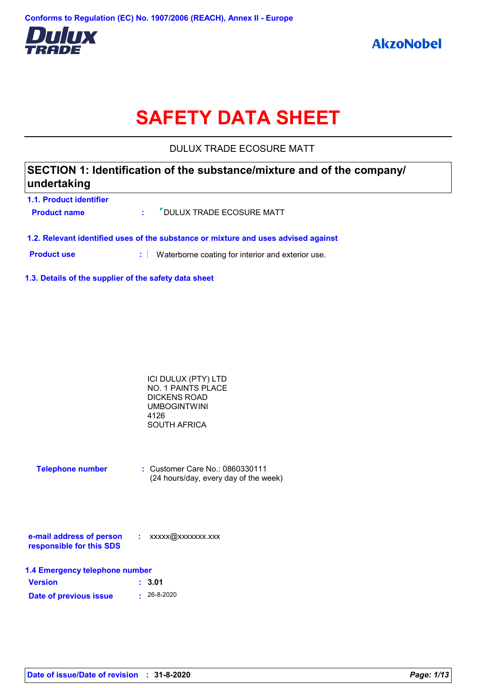

# **SAFETY DATA SHEET**

DULUX TRADE ECOSURE MATT

### **SECTION 1: Identification of the substance/mixture and of the company/ undertaking**

| 1.1. Product identifier |                              |
|-------------------------|------------------------------|
| <b>Product name</b>     | : 7 DULUX TRADE ECOSURE MATT |
|                         |                              |

**1.2. Relevant identified uses of the substance or mixture and uses advised against**

**Product use <b>:** Waterborne coating for interior and exterior use.

**1.3. Details of the supplier of the safety data sheet**

| ICI DULUX (PTY) LTD       |  |
|---------------------------|--|
| <b>NO. 1 PAINTS PLACE</b> |  |
| DICKENS ROAD              |  |
| UMBOGINTWINI              |  |
| 4126                      |  |
| SOUTH AFRICA              |  |
|                           |  |

| <b>Telephone number</b> | $\therefore$ Customer Care No.: 0860330111 |
|-------------------------|--------------------------------------------|
|                         | (24 hours/day, every day of the week)      |

| e-mail address of person | xxxxx@xxxxxxx.xxx |
|--------------------------|-------------------|
| responsible for this SDS |                   |

| 1.4 Emergency telephone number |                   |  |  |  |
|--------------------------------|-------------------|--|--|--|
| <b>Version</b>                 | : 3.01            |  |  |  |
| Date of previous issue         | $\cdot$ 26-8-2020 |  |  |  |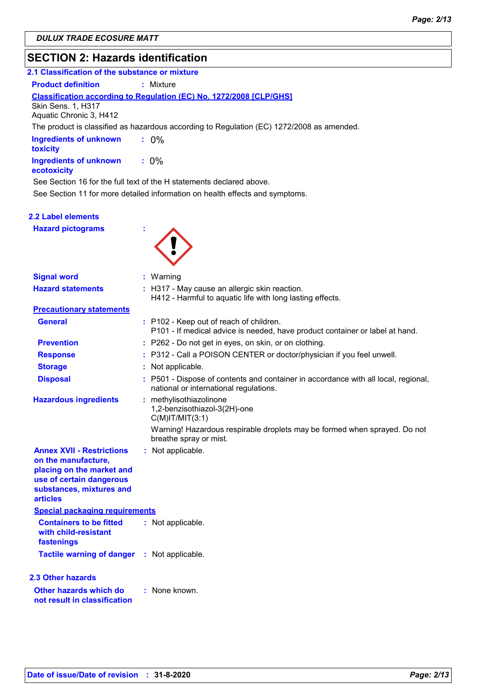### **SECTION 2: Hazards identification**

| SECTION 2: Hazards Identification                                                                                                                               |                                                                                                                              |
|-----------------------------------------------------------------------------------------------------------------------------------------------------------------|------------------------------------------------------------------------------------------------------------------------------|
| 2.1 Classification of the substance or mixture                                                                                                                  |                                                                                                                              |
| <b>Product definition</b>                                                                                                                                       | : Mixture                                                                                                                    |
|                                                                                                                                                                 | Classification according to Regulation (EC) No. 1272/2008 [CLP/GHS]                                                          |
| Skin Sens. 1, H317<br>Aquatic Chronic 3, H412                                                                                                                   |                                                                                                                              |
|                                                                                                                                                                 | The product is classified as hazardous according to Regulation (EC) 1272/2008 as amended.                                    |
| <b>Ingredients of unknown</b><br>toxicity                                                                                                                       | $: 0\%$                                                                                                                      |
| <b>Ingredients of unknown</b><br>ecotoxicity                                                                                                                    | $: 0\%$                                                                                                                      |
|                                                                                                                                                                 | See Section 16 for the full text of the H statements declared above.                                                         |
|                                                                                                                                                                 | See Section 11 for more detailed information on health effects and symptoms.                                                 |
| 2.2 Label elements                                                                                                                                              |                                                                                                                              |
| <b>Hazard pictograms</b>                                                                                                                                        |                                                                                                                              |
|                                                                                                                                                                 |                                                                                                                              |
|                                                                                                                                                                 |                                                                                                                              |
|                                                                                                                                                                 |                                                                                                                              |
| <b>Signal word</b>                                                                                                                                              | : Warning                                                                                                                    |
| <b>Hazard statements</b>                                                                                                                                        | : H317 - May cause an allergic skin reaction.<br>H412 - Harmful to aquatic life with long lasting effects.                   |
| <b>Precautionary statements</b>                                                                                                                                 |                                                                                                                              |
| <b>General</b>                                                                                                                                                  | : P102 - Keep out of reach of children.<br>P101 - If medical advice is needed, have product container or label at hand.      |
| <b>Prevention</b>                                                                                                                                               | : P262 - Do not get in eyes, on skin, or on clothing.                                                                        |
| <b>Response</b>                                                                                                                                                 | : P312 - Call a POISON CENTER or doctor/physician if you feel unwell.                                                        |
| <b>Storage</b>                                                                                                                                                  | : Not applicable.                                                                                                            |
| <b>Disposal</b>                                                                                                                                                 | : P501 - Dispose of contents and container in accordance with all local, regional,<br>national or international regulations. |
| <b>Hazardous ingredients</b>                                                                                                                                    | : methylisothiazolinone<br>1,2-benzisothiazol-3(2H)-one<br>$C(M)$ IT/MIT $(3:1)$                                             |
|                                                                                                                                                                 | Warning! Hazardous respirable droplets may be formed when sprayed. Do not<br>breathe spray or mist.                          |
| <b>Annex XVII - Restrictions</b><br>on the manufacture,<br>placing on the market and<br>use of certain dangerous<br>substances, mixtures and<br><b>articles</b> | : Not applicable.                                                                                                            |
| <b>Special packaging requirements</b>                                                                                                                           |                                                                                                                              |
| <b>Containers to be fitted</b><br>with child-resistant<br>fastenings                                                                                            | : Not applicable.                                                                                                            |
| <b>Tactile warning of danger</b>                                                                                                                                | : Not applicable.                                                                                                            |
| 2.3 Other hazards                                                                                                                                               |                                                                                                                              |

**Other hazards which do : not result in classification** : None known.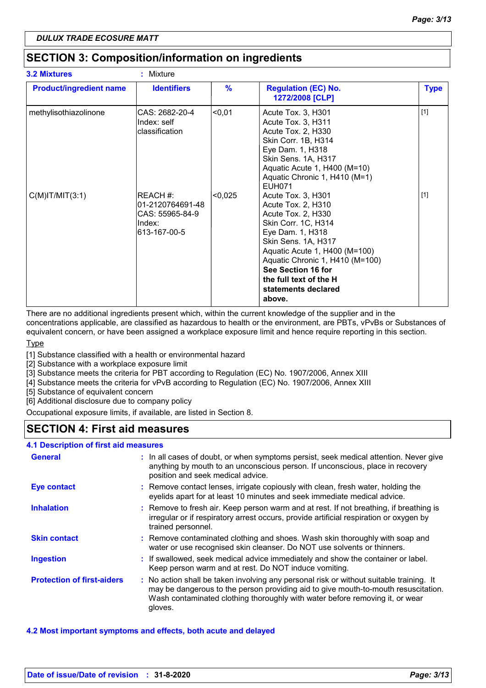### **SECTION 3: Composition/information on ingredients**

| <b>3.2 Mixtures</b>            | : Mixture                                                                 |               |                                                                                                                                                                                                                                                                                       |             |
|--------------------------------|---------------------------------------------------------------------------|---------------|---------------------------------------------------------------------------------------------------------------------------------------------------------------------------------------------------------------------------------------------------------------------------------------|-------------|
| <b>Product/ingredient name</b> | <b>Identifiers</b>                                                        | $\frac{9}{6}$ | <b>Regulation (EC) No.</b><br>1272/2008 [CLP]                                                                                                                                                                                                                                         | <b>Type</b> |
| methylisothiazolinone          | CAS: 2682-20-4<br>Index: self<br>classification                           | < 0.01        | Acute Tox. 3, H301<br>Acute Tox. 3, H311<br>Acute Tox. 2, H330<br>Skin Corr. 1B, H314<br>Eye Dam. 1, H318<br>Skin Sens. 1A, H317<br>Aquatic Acute 1, H400 (M=10)<br>Aquatic Chronic 1, H410 (M=1)<br><b>EUH071</b>                                                                    | $[1]$       |
| $C(M)$ IT/MIT $(3:1)$          | REACH #:<br>01-2120764691-48<br>CAS: 55965-84-9<br>Index:<br>613-167-00-5 | < 0,025       | Acute Tox. 3, H301<br>Acute Tox. 2, H310<br>Acute Tox. 2, H330<br>Skin Corr. 1C, H314<br>Eye Dam. 1, H318<br>Skin Sens. 1A, H317<br>Aquatic Acute 1, H400 (M=100)<br>Aquatic Chronic 1, H410 (M=100)<br>See Section 16 for<br>the full text of the H<br>statements declared<br>above. | $[1]$       |

There are no additional ingredients present which, within the current knowledge of the supplier and in the

concentrations applicable, are classified as hazardous to health or the environment, are PBTs, vPvBs or Substances of equivalent concern, or have been assigned a workplace exposure limit and hence require reporting in this section.

**Type** 

[1] Substance classified with a health or environmental hazard

[2] Substance with a workplace exposure limit

[3] Substance meets the criteria for PBT according to Regulation (EC) No. 1907/2006, Annex XIII

[4] Substance meets the criteria for vPvB according to Regulation (EC) No. 1907/2006, Annex XIII

[5] Substance of equivalent concern

[6] Additional disclosure due to company policy

Occupational exposure limits, if available, are listed in Section 8.

### **SECTION 4: First aid measures**

| 4.1 Description of first aid measures |                                                                                                                                                                                                                                                                          |
|---------------------------------------|--------------------------------------------------------------------------------------------------------------------------------------------------------------------------------------------------------------------------------------------------------------------------|
| <b>General</b>                        | : In all cases of doubt, or when symptoms persist, seek medical attention. Never give<br>anything by mouth to an unconscious person. If unconscious, place in recovery<br>position and seek medical advice.                                                              |
| <b>Eye contact</b>                    | : Remove contact lenses, irrigate copiously with clean, fresh water, holding the<br>eyelids apart for at least 10 minutes and seek immediate medical advice.                                                                                                             |
| <b>Inhalation</b>                     | : Remove to fresh air. Keep person warm and at rest. If not breathing, if breathing is<br>irregular or if respiratory arrest occurs, provide artificial respiration or oxygen by<br>trained personnel.                                                                   |
| <b>Skin contact</b>                   | : Remove contaminated clothing and shoes. Wash skin thoroughly with soap and<br>water or use recognised skin cleanser. Do NOT use solvents or thinners.                                                                                                                  |
| <b>Ingestion</b>                      | : If swallowed, seek medical advice immediately and show the container or label.<br>Keep person warm and at rest. Do NOT induce vomiting.                                                                                                                                |
| <b>Protection of first-aiders</b>     | : No action shall be taken involving any personal risk or without suitable training. It<br>may be dangerous to the person providing aid to give mouth-to-mouth resuscitation.<br>Wash contaminated clothing thoroughly with water before removing it, or wear<br>gloves. |

#### **4.2 Most important symptoms and effects, both acute and delayed**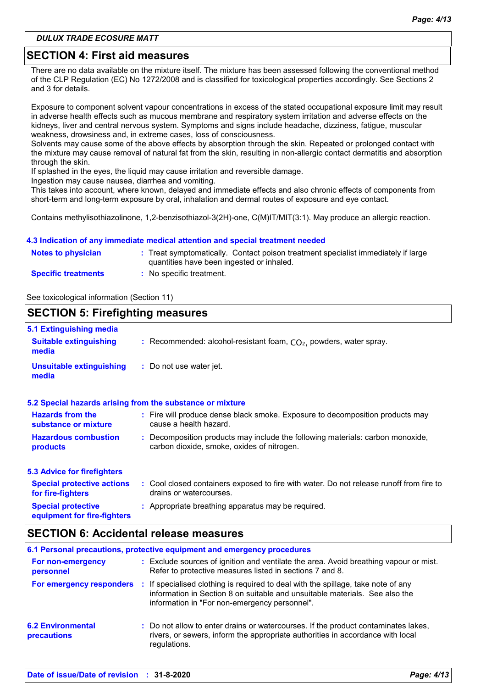### **SECTION 4: First aid measures**

There are no data available on the mixture itself. The mixture has been assessed following the conventional method of the CLP Regulation (EC) No 1272/2008 and is classified for toxicological properties accordingly. See Sections 2 and 3 for details.

Exposure to component solvent vapour concentrations in excess of the stated occupational exposure limit may result in adverse health effects such as mucous membrane and respiratory system irritation and adverse effects on the kidneys, liver and central nervous system. Symptoms and signs include headache, dizziness, fatigue, muscular weakness, drowsiness and, in extreme cases, loss of consciousness.

Solvents may cause some of the above effects by absorption through the skin. Repeated or prolonged contact with the mixture may cause removal of natural fat from the skin, resulting in non-allergic contact dermatitis and absorption through the skin.

If splashed in the eyes, the liquid may cause irritation and reversible damage.

Ingestion may cause nausea, diarrhea and vomiting.

This takes into account, where known, delayed and immediate effects and also chronic effects of components from short-term and long-term exposure by oral, inhalation and dermal routes of exposure and eye contact.

Contains methylisothiazolinone, 1,2-benzisothiazol-3(2H)-one, C(M)IT/MIT(3:1). May produce an allergic reaction.

#### **4.3 Indication of any immediate medical attention and special treatment needed**

| <b>Notes to physician</b>  | : Treat symptomatically. Contact poison treatment specialist immediately if large<br>quantities have been ingested or inhaled. |
|----------------------------|--------------------------------------------------------------------------------------------------------------------------------|
| <b>Specific treatments</b> | No specific treatment.                                                                                                         |

See toxicological information (Section 11)

#### **SECTION 5: Firefighting measures** Recommended: alcohol-resistant foam, CO₂, powders, water spray. **: :** Do not use water jet. **Hazardous combustion products Hazards from the substance or mixture Special protective equipment for fire-fighters 5.1 Extinguishing media :** Fire will produce dense black smoke. Exposure to decomposition products may **:** Decomposition products may include the following materials: carbon monoxide, **:** Appropriate breathing apparatus may be required. **Suitable extinguishing media Unsuitable extinguishing media 5.2 Special hazards arising from the substance or mixture 5.3 Advice for firefighters Special protective actions for fire-fighters :** Cool closed containers exposed to fire with water. Do not release runoff from fire to cause a health hazard. drains or watercourses. carbon dioxide, smoke, oxides of nitrogen.

### **SECTION 6: Accidental release measures**

|                                                |    | 6.1 Personal precautions, protective equipment and emergency procedures                                                                                                                                         |
|------------------------------------------------|----|-----------------------------------------------------------------------------------------------------------------------------------------------------------------------------------------------------------------|
| For non-emergency<br>personnel                 |    | : Exclude sources of ignition and ventilate the area. Avoid breathing vapour or mist.<br>Refer to protective measures listed in sections 7 and 8.                                                               |
| For emergency responders                       | п. | If specialised clothing is required to deal with the spillage, take note of any<br>information in Section 8 on suitable and unsuitable materials. See also the<br>information in "For non-emergency personnel". |
| <b>6.2 Environmental</b><br><b>precautions</b> |    | : Do not allow to enter drains or watercourses. If the product contaminates lakes,<br>rivers, or sewers, inform the appropriate authorities in accordance with local<br>regulations.                            |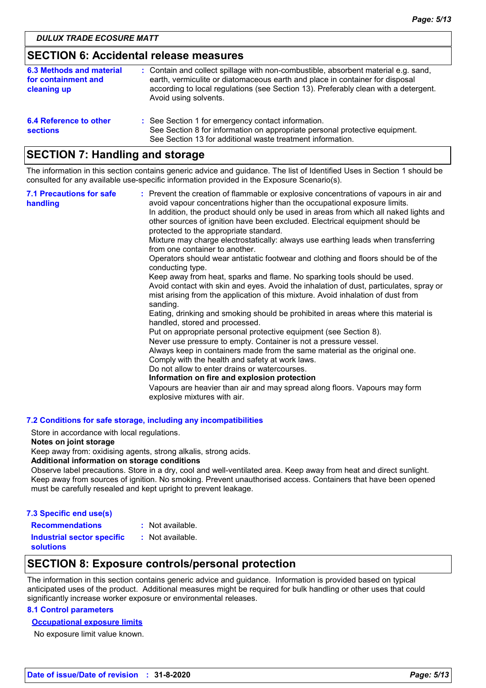### **SECTION 6: Accidental release measures**

| 6.3 Methods and material<br>for containment and<br>cleaning up | : Contain and collect spillage with non-combustible, absorbent material e.g. sand,<br>earth, vermiculite or diatomaceous earth and place in container for disposal<br>according to local regulations (see Section 13). Preferably clean with a detergent.<br>Avoid using solvents. |
|----------------------------------------------------------------|------------------------------------------------------------------------------------------------------------------------------------------------------------------------------------------------------------------------------------------------------------------------------------|
| 6.4 Reference to other<br><b>sections</b>                      | : See Section 1 for emergency contact information.<br>See Section 8 for information on appropriate personal protective equipment.<br>See Section 13 for additional waste treatment information.                                                                                    |

### **SECTION 7: Handling and storage**

The information in this section contains generic advice and guidance. The list of Identified Uses in Section 1 should be consulted for any available use-specific information provided in the Exposure Scenario(s).

| <b>7.1 Precautions for safe</b><br>handling | : Prevent the creation of flammable or explosive concentrations of vapours in air and<br>avoid vapour concentrations higher than the occupational exposure limits.<br>In addition, the product should only be used in areas from which all naked lights and<br>other sources of ignition have been excluded. Electrical equipment should be<br>protected to the appropriate standard.<br>Mixture may charge electrostatically: always use earthing leads when transferring<br>from one container to another.<br>Operators should wear antistatic footwear and clothing and floors should be of the<br>conducting type.<br>Keep away from heat, sparks and flame. No sparking tools should be used.<br>Avoid contact with skin and eyes. Avoid the inhalation of dust, particulates, spray or<br>mist arising from the application of this mixture. Avoid inhalation of dust from<br>sanding.<br>Eating, drinking and smoking should be prohibited in areas where this material is<br>handled, stored and processed.<br>Put on appropriate personal protective equipment (see Section 8).<br>Never use pressure to empty. Container is not a pressure vessel.<br>Always keep in containers made from the same material as the original one.<br>Comply with the health and safety at work laws.<br>Do not allow to enter drains or watercourses.<br>Information on fire and explosion protection<br>Vapours are heavier than air and may spread along floors. Vapours may form<br>explosive mixtures with air. |
|---------------------------------------------|--------------------------------------------------------------------------------------------------------------------------------------------------------------------------------------------------------------------------------------------------------------------------------------------------------------------------------------------------------------------------------------------------------------------------------------------------------------------------------------------------------------------------------------------------------------------------------------------------------------------------------------------------------------------------------------------------------------------------------------------------------------------------------------------------------------------------------------------------------------------------------------------------------------------------------------------------------------------------------------------------------------------------------------------------------------------------------------------------------------------------------------------------------------------------------------------------------------------------------------------------------------------------------------------------------------------------------------------------------------------------------------------------------------------------------------------------------------------------------------------------------------|
|---------------------------------------------|--------------------------------------------------------------------------------------------------------------------------------------------------------------------------------------------------------------------------------------------------------------------------------------------------------------------------------------------------------------------------------------------------------------------------------------------------------------------------------------------------------------------------------------------------------------------------------------------------------------------------------------------------------------------------------------------------------------------------------------------------------------------------------------------------------------------------------------------------------------------------------------------------------------------------------------------------------------------------------------------------------------------------------------------------------------------------------------------------------------------------------------------------------------------------------------------------------------------------------------------------------------------------------------------------------------------------------------------------------------------------------------------------------------------------------------------------------------------------------------------------------------|

#### **7.2 Conditions for safe storage, including any incompatibilities**

Store in accordance with local regulations.

#### **Notes on joint storage**

Keep away from: oxidising agents, strong alkalis, strong acids.

#### **Additional information on storage conditions**

Observe label precautions. Store in a dry, cool and well-ventilated area. Keep away from heat and direct sunlight. Keep away from sources of ignition. No smoking. Prevent unauthorised access. Containers that have been opened must be carefully resealed and kept upright to prevent leakage.

| 7.3 Specific end use(s)           |                    |
|-----------------------------------|--------------------|
| <b>Recommendations</b>            | $:$ Not available. |
| <b>Industrial sector specific</b> | : Not available.   |
| <b>solutions</b>                  |                    |

### **SECTION 8: Exposure controls/personal protection**

The information in this section contains generic advice and guidance. Information is provided based on typical anticipated uses of the product. Additional measures might be required for bulk handling or other uses that could significantly increase worker exposure or environmental releases.

#### **8.1 Control parameters**

#### **Occupational exposure limits**

No exposure limit value known.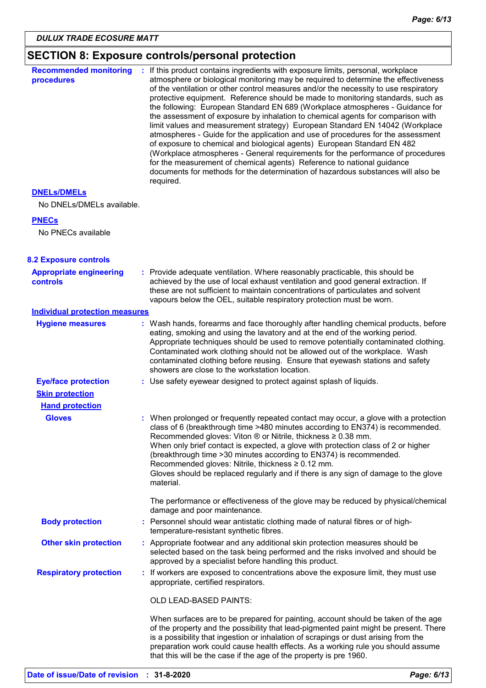## **SECTION 8: Exposure controls/personal protection**

| <b>Recommended monitoring</b><br>procedures       | : If this product contains ingredients with exposure limits, personal, workplace<br>atmosphere or biological monitoring may be required to determine the effectiveness<br>of the ventilation or other control measures and/or the necessity to use respiratory<br>protective equipment. Reference should be made to monitoring standards, such as<br>the following: European Standard EN 689 (Workplace atmospheres - Guidance for<br>the assessment of exposure by inhalation to chemical agents for comparison with<br>limit values and measurement strategy) European Standard EN 14042 (Workplace<br>atmospheres - Guide for the application and use of procedures for the assessment<br>of exposure to chemical and biological agents) European Standard EN 482<br>(Workplace atmospheres - General requirements for the performance of procedures<br>for the measurement of chemical agents) Reference to national guidance<br>documents for methods for the determination of hazardous substances will also be<br>required. |
|---------------------------------------------------|------------------------------------------------------------------------------------------------------------------------------------------------------------------------------------------------------------------------------------------------------------------------------------------------------------------------------------------------------------------------------------------------------------------------------------------------------------------------------------------------------------------------------------------------------------------------------------------------------------------------------------------------------------------------------------------------------------------------------------------------------------------------------------------------------------------------------------------------------------------------------------------------------------------------------------------------------------------------------------------------------------------------------------|
| <b>DNELS/DMELS</b>                                |                                                                                                                                                                                                                                                                                                                                                                                                                                                                                                                                                                                                                                                                                                                                                                                                                                                                                                                                                                                                                                    |
| No DNELs/DMELs available.                         |                                                                                                                                                                                                                                                                                                                                                                                                                                                                                                                                                                                                                                                                                                                                                                                                                                                                                                                                                                                                                                    |
| <b>PNECs</b>                                      |                                                                                                                                                                                                                                                                                                                                                                                                                                                                                                                                                                                                                                                                                                                                                                                                                                                                                                                                                                                                                                    |
| No PNECs available                                |                                                                                                                                                                                                                                                                                                                                                                                                                                                                                                                                                                                                                                                                                                                                                                                                                                                                                                                                                                                                                                    |
| <b>8.2 Exposure controls</b>                      |                                                                                                                                                                                                                                                                                                                                                                                                                                                                                                                                                                                                                                                                                                                                                                                                                                                                                                                                                                                                                                    |
| <b>Appropriate engineering</b><br><b>controls</b> | : Provide adequate ventilation. Where reasonably practicable, this should be<br>achieved by the use of local exhaust ventilation and good general extraction. If<br>these are not sufficient to maintain concentrations of particulates and solvent<br>vapours below the OEL, suitable respiratory protection must be worn.                                                                                                                                                                                                                                                                                                                                                                                                                                                                                                                                                                                                                                                                                                        |
| <b>Individual protection measures</b>             |                                                                                                                                                                                                                                                                                                                                                                                                                                                                                                                                                                                                                                                                                                                                                                                                                                                                                                                                                                                                                                    |
| <b>Hygiene measures</b>                           | : Wash hands, forearms and face thoroughly after handling chemical products, before<br>eating, smoking and using the lavatory and at the end of the working period.<br>Appropriate techniques should be used to remove potentially contaminated clothing.<br>Contaminated work clothing should not be allowed out of the workplace. Wash<br>contaminated clothing before reusing. Ensure that eyewash stations and safety<br>showers are close to the workstation location.                                                                                                                                                                                                                                                                                                                                                                                                                                                                                                                                                        |
| <b>Eye/face protection</b>                        | : Use safety eyewear designed to protect against splash of liquids.                                                                                                                                                                                                                                                                                                                                                                                                                                                                                                                                                                                                                                                                                                                                                                                                                                                                                                                                                                |
| <b>Skin protection</b>                            |                                                                                                                                                                                                                                                                                                                                                                                                                                                                                                                                                                                                                                                                                                                                                                                                                                                                                                                                                                                                                                    |
| <b>Hand protection</b>                            |                                                                                                                                                                                                                                                                                                                                                                                                                                                                                                                                                                                                                                                                                                                                                                                                                                                                                                                                                                                                                                    |
| <b>Gloves</b>                                     | : When prolonged or frequently repeated contact may occur, a glove with a protection<br>class of 6 (breakthrough time >480 minutes according to EN374) is recommended.<br>Recommended gloves: Viton $\otimes$ or Nitrile, thickness $\geq 0.38$ mm.<br>When only brief contact is expected, a glove with protection class of 2 or higher<br>(breakthrough time > 30 minutes according to EN374) is recommended.<br>Recommended gloves: Nitrile, thickness ≥ 0.12 mm.<br>Gloves should be replaced regularly and if there is any sign of damage to the glove<br>material.                                                                                                                                                                                                                                                                                                                                                                                                                                                           |
|                                                   | The performance or effectiveness of the glove may be reduced by physical/chemical<br>damage and poor maintenance.                                                                                                                                                                                                                                                                                                                                                                                                                                                                                                                                                                                                                                                                                                                                                                                                                                                                                                                  |
| <b>Body protection</b>                            | : Personnel should wear antistatic clothing made of natural fibres or of high-<br>temperature-resistant synthetic fibres.                                                                                                                                                                                                                                                                                                                                                                                                                                                                                                                                                                                                                                                                                                                                                                                                                                                                                                          |
| <b>Other skin protection</b>                      | : Appropriate footwear and any additional skin protection measures should be<br>selected based on the task being performed and the risks involved and should be<br>approved by a specialist before handling this product.                                                                                                                                                                                                                                                                                                                                                                                                                                                                                                                                                                                                                                                                                                                                                                                                          |
| <b>Respiratory protection</b>                     | : If workers are exposed to concentrations above the exposure limit, they must use<br>appropriate, certified respirators.                                                                                                                                                                                                                                                                                                                                                                                                                                                                                                                                                                                                                                                                                                                                                                                                                                                                                                          |
|                                                   | OLD LEAD-BASED PAINTS:                                                                                                                                                                                                                                                                                                                                                                                                                                                                                                                                                                                                                                                                                                                                                                                                                                                                                                                                                                                                             |
|                                                   | When surfaces are to be prepared for painting, account should be taken of the age<br>of the property and the possibility that lead-pigmented paint might be present. There<br>is a possibility that ingestion or inhalation of scrapings or dust arising from the<br>preparation work could cause health effects. As a working rule you should assume<br>that this will be the case if the age of the property is pre 1960.                                                                                                                                                                                                                                                                                                                                                                                                                                                                                                                                                                                                        |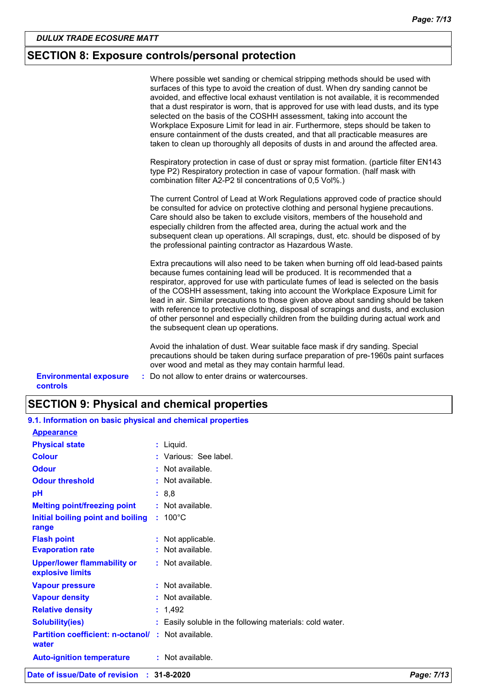### **SECTION 8: Exposure controls/personal protection**

|                                           | Where possible wet sanding or chemical stripping methods should be used with<br>surfaces of this type to avoid the creation of dust. When dry sanding cannot be<br>avoided, and effective local exhaust ventilation is not available, it is recommended<br>that a dust respirator is worn, that is approved for use with lead dusts, and its type<br>selected on the basis of the COSHH assessment, taking into account the<br>Workplace Exposure Limit for lead in air. Furthermore, steps should be taken to<br>ensure containment of the dusts created, and that all practicable measures are<br>taken to clean up thoroughly all deposits of dusts in and around the affected area. |
|-------------------------------------------|-----------------------------------------------------------------------------------------------------------------------------------------------------------------------------------------------------------------------------------------------------------------------------------------------------------------------------------------------------------------------------------------------------------------------------------------------------------------------------------------------------------------------------------------------------------------------------------------------------------------------------------------------------------------------------------------|
|                                           | Respiratory protection in case of dust or spray mist formation. (particle filter EN143<br>type P2) Respiratory protection in case of vapour formation. (half mask with<br>combination filter A2-P2 til concentrations of 0,5 Vol%.)                                                                                                                                                                                                                                                                                                                                                                                                                                                     |
|                                           | The current Control of Lead at Work Regulations approved code of practice should<br>be consulted for advice on protective clothing and personal hygiene precautions.<br>Care should also be taken to exclude visitors, members of the household and<br>especially children from the affected area, during the actual work and the<br>subsequent clean up operations. All scrapings, dust, etc. should be disposed of by<br>the professional painting contractor as Hazardous Waste.                                                                                                                                                                                                     |
|                                           | Extra precautions will also need to be taken when burning off old lead-based paints<br>because fumes containing lead will be produced. It is recommended that a<br>respirator, approved for use with particulate fumes of lead is selected on the basis<br>of the COSHH assessment, taking into account the Workplace Exposure Limit for<br>lead in air. Similar precautions to those given above about sanding should be taken<br>with reference to protective clothing, disposal of scrapings and dusts, and exclusion<br>of other personnel and especially children from the building during actual work and<br>the subsequent clean up operations.                                  |
|                                           | Avoid the inhalation of dust. Wear suitable face mask if dry sanding. Special<br>precautions should be taken during surface preparation of pre-1960s paint surfaces<br>over wood and metal as they may contain harmful lead.                                                                                                                                                                                                                                                                                                                                                                                                                                                            |
| <b>Environmental exposure</b><br>controls | : Do not allow to enter drains or watercourses.                                                                                                                                                                                                                                                                                                                                                                                                                                                                                                                                                                                                                                         |

| <b>SECTION 9: Physical and chemical properties</b> |  |  |
|----------------------------------------------------|--|--|
|----------------------------------------------------|--|--|

| Date of issue/Date of revision : 31-8-2020                 |                                                          | Page: 7/13 |
|------------------------------------------------------------|----------------------------------------------------------|------------|
| <b>Auto-ignition temperature</b>                           | : Not available.                                         |            |
| <b>Partition coefficient: n-octanol/ :</b><br>water        | Not available.                                           |            |
| <b>Solubility(ies)</b>                                     | : Easily soluble in the following materials: cold water. |            |
| <b>Relative density</b>                                    | : 1,492                                                  |            |
| <b>Vapour density</b>                                      | $:$ Not available.                                       |            |
| <b>Vapour pressure</b>                                     | : Not available.                                         |            |
| explosive limits                                           |                                                          |            |
| <b>Upper/lower flammability or</b>                         | : Not available.                                         |            |
| <b>Evaporation rate</b>                                    | Not available.                                           |            |
| <b>Flash point</b>                                         | : Not applicable.                                        |            |
| range                                                      |                                                          |            |
| Initial boiling point and boiling                          | $: 100^{\circ}$ C                                        |            |
| <b>Melting point/freezing point</b>                        | : Not available.                                         |            |
| pH                                                         | : 8,8                                                    |            |
| <b>Odour threshold</b>                                     | $:$ Not available.                                       |            |
| <b>Odour</b>                                               | $:$ Not available.                                       |            |
| <b>Colour</b>                                              | : Various: See label.                                    |            |
| <b>Physical state</b>                                      | $:$ Liquid.                                              |            |
| <b>Appearance</b>                                          |                                                          |            |
| 9.1. Information on basic physical and chemical properties |                                                          |            |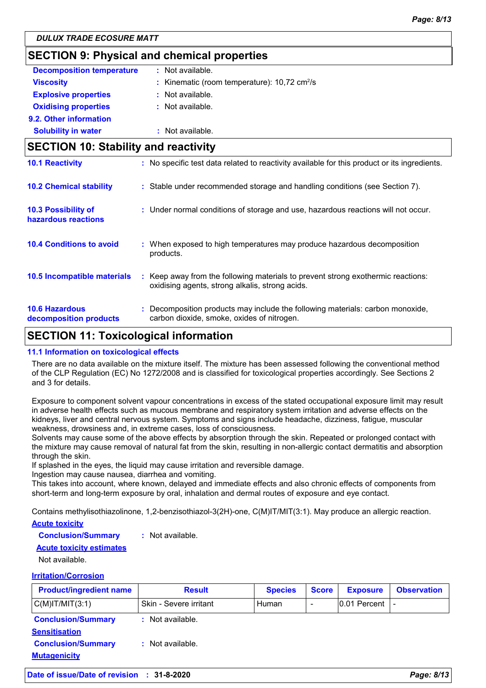### **SECTION 9: Physical and chemical properties**

| <b>Decomposition temperature</b> | : Not available.                                              |
|----------------------------------|---------------------------------------------------------------|
| <b>Viscosity</b>                 | : Kinematic (room temperature): $10,72 \text{ cm}^2/\text{s}$ |
| <b>Explosive properties</b>      | : Not available.                                              |
| <b>Oxidising properties</b>      | : Not available.                                              |
| 9.2. Other information           |                                                               |
| <b>Solubility in water</b>       | : Not available.                                              |

### **SECTION 10: Stability and reactivity**  $\therefore$  Keep away from the following materials to prevent strong exothermic reactions: oxidising agents, strong alkalis, strong acids. **10.6 Hazardous decomposition products 10.4 Conditions to avoid** : When exposed to high temperatures may produce hazardous decomposition products. **10.2 Chemical stability :** Stable under recommended storage and handling conditions (see Section 7). **:** Decomposition products may include the following materials: carbon monoxide, **10.5 Incompatible materials : 10.3 Possibility of hazardous reactions :** Under normal conditions of storage and use, hazardous reactions will not occur. **10.1 Reactivity :** No specific test data related to reactivity available for this product or its ingredients. carbon dioxide, smoke, oxides of nitrogen.

### **SECTION 11: Toxicological information**

#### **11.1 Information on toxicological effects**

There are no data available on the mixture itself. The mixture has been assessed following the conventional method of the CLP Regulation (EC) No 1272/2008 and is classified for toxicological properties accordingly. See Sections 2 and 3 for details.

Exposure to component solvent vapour concentrations in excess of the stated occupational exposure limit may result in adverse health effects such as mucous membrane and respiratory system irritation and adverse effects on the kidneys, liver and central nervous system. Symptoms and signs include headache, dizziness, fatigue, muscular weakness, drowsiness and, in extreme cases, loss of consciousness.

Solvents may cause some of the above effects by absorption through the skin. Repeated or prolonged contact with the mixture may cause removal of natural fat from the skin, resulting in non-allergic contact dermatitis and absorption through the skin.

If splashed in the eyes, the liquid may cause irritation and reversible damage.

Ingestion may cause nausea, diarrhea and vomiting.

This takes into account, where known, delayed and immediate effects and also chronic effects of components from short-term and long-term exposure by oral, inhalation and dermal routes of exposure and eye contact.

Contains methylisothiazolinone, 1,2-benzisothiazol-3(2H)-one, C(M)IT/MIT(3:1). May produce an allergic reaction.

#### **Acute toxicity**

**Conclusion/Summary :** Not available.

#### **Acute toxicity estimates**

Not available.

#### **Irritation/Corrosion**

| <b>Product/ingredient name</b>                    | <b>Result</b>          | <b>Species</b> | <b>Score</b> | <b>Exposure</b>     | <b>Observation</b> |
|---------------------------------------------------|------------------------|----------------|--------------|---------------------|--------------------|
| $C(M)$ IT/MIT $(3:1)$                             | Skin - Severe irritant | Human          |              | $ 0.01$ Percent $ $ |                    |
| <b>Conclusion/Summary</b><br><b>Sensitisation</b> | $:$ Not available.     |                |              |                     |                    |
| <b>Conclusion/Summary</b><br><b>Mutagenicity</b>  | $:$ Not available.     |                |              |                     |                    |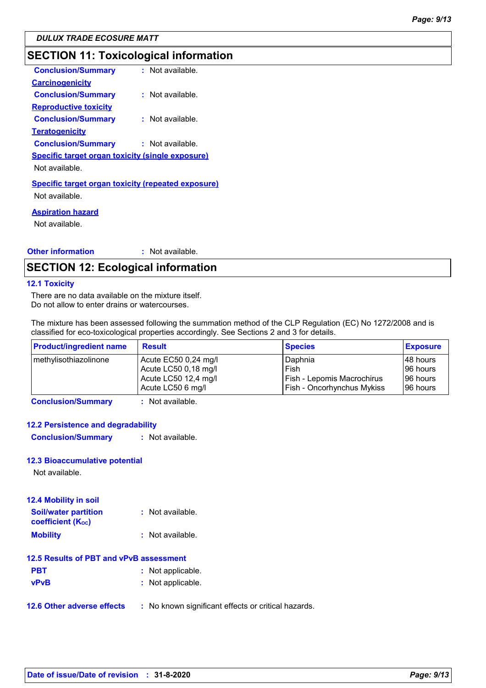### **SECTION 11: Toxicological information**

| <b>Conclusion/Summary</b>                                 | : Not available. |
|-----------------------------------------------------------|------------------|
| <b>Carcinogenicity</b>                                    |                  |
| <b>Conclusion/Summary</b>                                 | : Not available. |
| <b>Reproductive toxicity</b>                              |                  |
| <b>Conclusion/Summary</b>                                 | : Not available. |
| Teratogenicity                                            |                  |
| <b>Conclusion/Summary</b>                                 | : Not available. |
| <b>Specific target organ toxicity (single exposure)</b>   |                  |
| Not available.                                            |                  |
| <b>Specific target organ toxicity (repeated exposure)</b> |                  |
| Not available.                                            |                  |
| <b>Aspiration hazard</b>                                  |                  |
| Not available.                                            |                  |
|                                                           |                  |
|                                                           |                  |

#### **Other information :** : Not available.

### **SECTION 12: Ecological information**

#### **12.1 Toxicity**

There are no data available on the mixture itself. Do not allow to enter drains or watercourses.

The mixture has been assessed following the summation method of the CLP Regulation (EC) No 1272/2008 and is classified for eco-toxicological properties accordingly. See Sections 2 and 3 for details.

| <b>Product/ingredient name</b> | <b>Result</b>        | <b>Species</b>                    | <b>Exposure</b> |
|--------------------------------|----------------------|-----------------------------------|-----------------|
| methylisothiazolinone          | Acute EC50 0,24 mg/l | Daphnia                           | 48 hours        |
|                                | Acute LC50 0,18 mg/l | Fish                              | 96 hours        |
|                                | Acute LC50 12,4 mg/l | Fish - Lepomis Macrochirus        | 96 hours        |
|                                | Acute LC50 6 mg/l    | <b>Fish - Oncorhynchus Mykiss</b> | 96 hours        |

**Conclusion/Summary :** Not available.

#### **12.2 Persistence and degradability**

**Conclusion/Summary :** Not available.

#### **12.3 Bioaccumulative potential**

Not available.

| <b>12.4 Mobility in soil</b>                                         |                  |
|----------------------------------------------------------------------|------------------|
| <b>Soil/water partition</b><br><b>coefficient</b> (K <sub>oc</sub> ) | : Not available. |
| <b>Mobility</b>                                                      | : Not available. |

#### **12.5 Results of PBT and vPvB assessment**

| <b>PBT</b>  | : Not applicable. |
|-------------|-------------------|
| <b>vPvB</b> | : Not applicable. |

**12.6 Other adverse effects** : No known significant effects or critical hazards.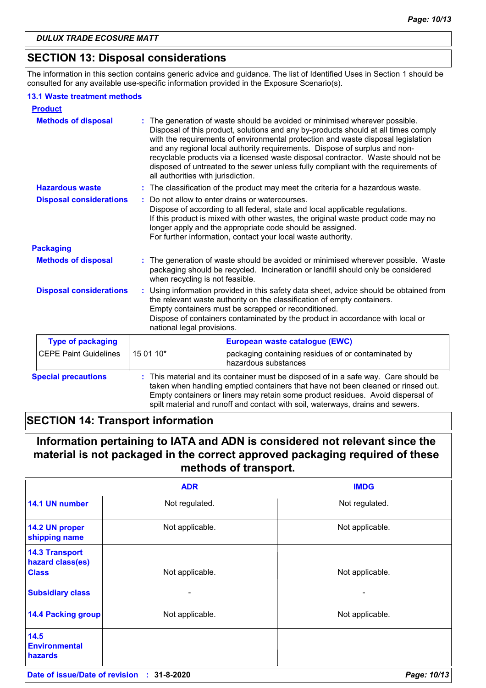### **SECTION 13: Disposal considerations**

The information in this section contains generic advice and guidance. The list of Identified Uses in Section 1 should be consulted for any available use-specific information provided in the Exposure Scenario(s).

#### **13.1 Waste treatment methods**

| <b>Product</b>                 |                                                                                                                                                                                                                                                                                                                                              |                                                                                                                                                                                                                                                                                                                                                                                                                                                                                                                |  |
|--------------------------------|----------------------------------------------------------------------------------------------------------------------------------------------------------------------------------------------------------------------------------------------------------------------------------------------------------------------------------------------|----------------------------------------------------------------------------------------------------------------------------------------------------------------------------------------------------------------------------------------------------------------------------------------------------------------------------------------------------------------------------------------------------------------------------------------------------------------------------------------------------------------|--|
| <b>Methods of disposal</b>     | all authorities with jurisdiction.                                                                                                                                                                                                                                                                                                           | : The generation of waste should be avoided or minimised wherever possible.<br>Disposal of this product, solutions and any by-products should at all times comply<br>with the requirements of environmental protection and waste disposal legislation<br>and any regional local authority requirements. Dispose of surplus and non-<br>recyclable products via a licensed waste disposal contractor. Waste should not be<br>disposed of untreated to the sewer unless fully compliant with the requirements of |  |
| <b>Hazardous waste</b>         |                                                                                                                                                                                                                                                                                                                                              | : The classification of the product may meet the criteria for a hazardous waste.                                                                                                                                                                                                                                                                                                                                                                                                                               |  |
| <b>Disposal considerations</b> |                                                                                                                                                                                                                                                                                                                                              | Do not allow to enter drains or watercourses.<br>Dispose of according to all federal, state and local applicable regulations.<br>If this product is mixed with other wastes, the original waste product code may no<br>longer apply and the appropriate code should be assigned.<br>For further information, contact your local waste authority.                                                                                                                                                               |  |
| <b>Packaging</b>               |                                                                                                                                                                                                                                                                                                                                              |                                                                                                                                                                                                                                                                                                                                                                                                                                                                                                                |  |
| <b>Methods of disposal</b>     |                                                                                                                                                                                                                                                                                                                                              | : The generation of waste should be avoided or minimised wherever possible. Waste<br>packaging should be recycled. Incineration or landfill should only be considered<br>when recycling is not feasible.                                                                                                                                                                                                                                                                                                       |  |
| <b>Disposal considerations</b> |                                                                                                                                                                                                                                                                                                                                              | Using information provided in this safety data sheet, advice should be obtained from<br>the relevant waste authority on the classification of empty containers.<br>Empty containers must be scrapped or reconditioned.<br>Dispose of containers contaminated by the product in accordance with local or<br>national legal provisions.                                                                                                                                                                          |  |
| <b>Type of packaging</b>       | European waste catalogue (EWC)                                                                                                                                                                                                                                                                                                               |                                                                                                                                                                                                                                                                                                                                                                                                                                                                                                                |  |
| <b>CEPE Paint Guidelines</b>   | 15 01 10*                                                                                                                                                                                                                                                                                                                                    | packaging containing residues of or contaminated by<br>hazardous substances                                                                                                                                                                                                                                                                                                                                                                                                                                    |  |
| <b>Special precautions</b>     | : This material and its container must be disposed of in a safe way. Care should be<br>taken when handling emptied containers that have not been cleaned or rinsed out.<br>Empty containers or liners may retain some product residues. Avoid dispersal of<br>spilt material and runoff and contact with soil, waterways, drains and sewers. |                                                                                                                                                                                                                                                                                                                                                                                                                                                                                                                |  |

### **SECTION 14: Transport information**

### **Information pertaining to IATA and ADN is considered not relevant since the material is not packaged in the correct approved packaging required of these methods of transport.**

|                                                                                      | <b>ADR</b>           | <b>IMDG</b>     |
|--------------------------------------------------------------------------------------|----------------------|-----------------|
| 14.1 UN number                                                                       | Not regulated.       | Not regulated.  |
| 14.2 UN proper<br>shipping name                                                      | Not applicable.      | Not applicable. |
| <b>14.3 Transport</b><br>hazard class(es)<br><b>Class</b><br><b>Subsidiary class</b> | Not applicable.<br>- | Not applicable. |
| <b>14.4 Packing group</b>                                                            | Not applicable.      | Not applicable. |
| 14.5<br><b>Environmental</b><br><b>hazards</b>                                       |                      |                 |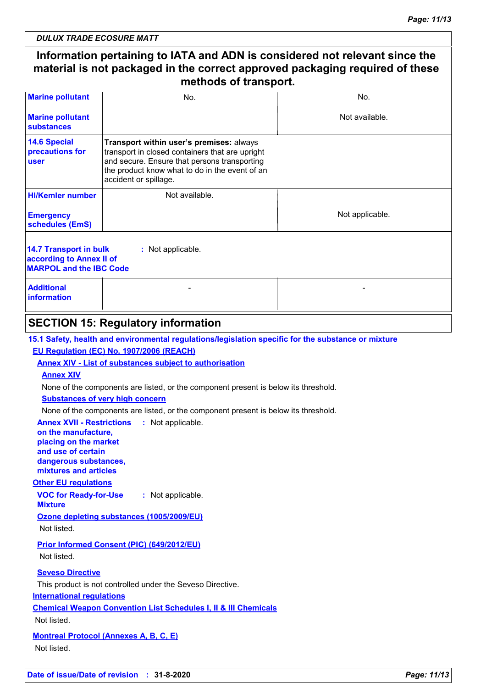### **Information pertaining to IATA and ADN is considered not relevant since the material is not packaged in the correct approved packaging required of these methods of transport.**

| <b>Marine pollutant</b>                                                                                   | No.                                                                                                                                                                                                                    | No.             |  |  |  |
|-----------------------------------------------------------------------------------------------------------|------------------------------------------------------------------------------------------------------------------------------------------------------------------------------------------------------------------------|-----------------|--|--|--|
| <b>Marine pollutant</b><br>substances                                                                     |                                                                                                                                                                                                                        | Not available.  |  |  |  |
| <b>14.6 Special</b><br>precautions for<br><b>user</b>                                                     | Transport within user's premises: always<br>transport in closed containers that are upright<br>and secure. Ensure that persons transporting<br>the product know what to do in the event of an<br>accident or spillage. |                 |  |  |  |
| <b>HI/Kemler number</b>                                                                                   | Not available.                                                                                                                                                                                                         |                 |  |  |  |
| <b>Emergency</b><br>schedules (EmS)                                                                       |                                                                                                                                                                                                                        | Not applicable. |  |  |  |
| 14.7 Transport in bulk<br>: Not applicable.<br>according to Annex II of<br><b>MARPOL and the IBC Code</b> |                                                                                                                                                                                                                        |                 |  |  |  |
| <b>Additional</b><br>information                                                                          |                                                                                                                                                                                                                        |                 |  |  |  |
|                                                                                                           |                                                                                                                                                                                                                        |                 |  |  |  |

### **SECTION 15: Regulatory information**

### **15.1 Safety, health and environmental regulations/legislation specific for the substance or mixture**

#### **EU Regulation (EC) No. 1907/2006 (REACH)**

#### **Annex XIV - List of substances subject to authorisation**

#### **Annex XIV**

None of the components are listed, or the component present is below its threshold.

#### **Substances of very high concern**

None of the components are listed, or the component present is below its threshold.

#### **Annex XVII - Restrictions : Not applicable.**

**on the manufacture, placing on the market and use of certain dangerous substances, mixtures and articles**

#### **Other EU regulations**

**VOC for Ready-for-Use Mixture :** Not applicable.

**Ozone depleting substances (1005/2009/EU)**

Not listed.

### **Prior Informed Consent (PIC) (649/2012/EU)**

Not listed.

#### **Seveso Directive**

This product is not controlled under the Seveso Directive.

#### **International regulations**

**Chemical Weapon Convention List Schedules I, II & III Chemicals**

#### Not listed.

**Montreal Protocol (Annexes A, B, C, E)**

Not listed.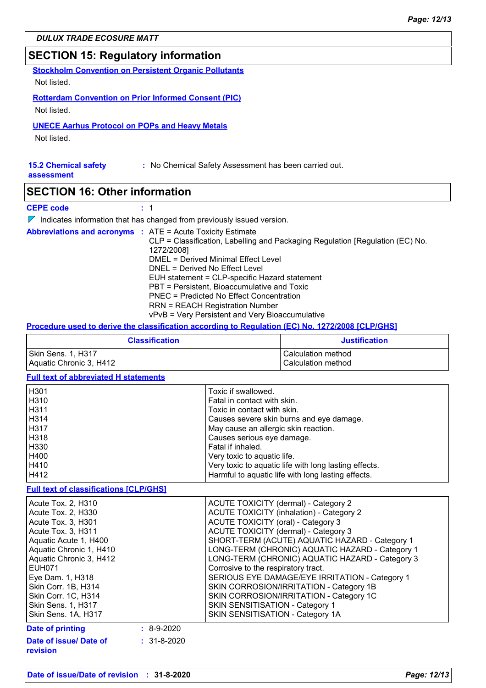### **SECTION 15: Regulatory information**

**Stockholm Convention on Persistent Organic Pollutants** Not listed.

**Rotterdam Convention on Prior Informed Consent (PIC)** Not listed.

#### **UNECE Aarhus Protocol on POPs and Heavy Metals**

Not listed.

#### **15.2 Chemical safety :** No Chemical Safety Assessment has been carried out.

**assessment**

### **SECTION 16: Other information**

#### **CEPE code :** 1

 $\nabla$  Indicates information that has changed from previously issued version.

|  | <b>Abbreviations and acronyms : ATE = Acute Toxicity Estimate</b>             |
|--|-------------------------------------------------------------------------------|
|  | CLP = Classification, Labelling and Packaging Regulation [Regulation (EC) No. |
|  | 1272/2008]                                                                    |
|  | DMEL = Derived Minimal Effect Level                                           |
|  | DNEL = Derived No Effect Level                                                |
|  | EUH statement = CLP-specific Hazard statement                                 |
|  | PBT = Persistent, Bioaccumulative and Toxic                                   |
|  | <b>PNEC</b> = Predicted No Effect Concentration                               |
|  | <b>RRN = REACH Registration Number</b>                                        |
|  | vPvB = Very Persistent and Very Bioaccumulative                               |

#### **Procedure used to derive the classification according to Regulation (EC) No. 1272/2008 [CLP/GHS]**

| <b>Classification</b>   | <b>Justification</b> |
|-------------------------|----------------------|
| Skin Sens. 1, H317      | Calculation method   |
| Aquatic Chronic 3, H412 | Calculation method   |

#### **Full text of abbreviated H statements**

| H <sub>301</sub> | Toxic if swallowed.                                   |
|------------------|-------------------------------------------------------|
| H310             | Fatal in contact with skin.                           |
| H311             | Toxic in contact with skin.                           |
| H314             | Causes severe skin burns and eye damage.              |
| H317             | May cause an allergic skin reaction.                  |
| H318             | Causes serious eye damage.                            |
| H330             | Fatal if inhaled.                                     |
| H400             | Very toxic to aquatic life.                           |
| H410             | Very toxic to aquatic life with long lasting effects. |
| H412             | Harmful to aquatic life with long lasting effects.    |

#### **Full text of classifications [CLP/GHS]**

| Date of issue/ Date of  | $: 31 - 8 - 2020$ |                                                 |
|-------------------------|-------------------|-------------------------------------------------|
| <b>Date of printing</b> | $: 8-9-2020$      |                                                 |
| Skin Sens. 1A, H317     |                   | SKIN SENSITISATION - Category 1A                |
| Skin Sens. 1, H317      |                   | SKIN SENSITISATION - Category 1                 |
| Skin Corr. 1C, H314     |                   | SKIN CORROSION/IRRITATION - Category 1C         |
| Skin Corr. 1B, H314     |                   | SKIN CORROSION/IRRITATION - Category 1B         |
| Eye Dam. 1, H318        |                   | SERIOUS EYE DAMAGE/EYE IRRITATION - Category 1  |
| EUH071                  |                   | Corrosive to the respiratory tract.             |
| Aquatic Chronic 3, H412 |                   | LONG-TERM (CHRONIC) AQUATIC HAZARD - Category 3 |
| Aquatic Chronic 1, H410 |                   | LONG-TERM (CHRONIC) AQUATIC HAZARD - Category 1 |
| Aquatic Acute 1, H400   |                   | SHORT-TERM (ACUTE) AQUATIC HAZARD - Category 1  |
| Acute Tox. 3, H311      |                   | ACUTE TOXICITY (dermal) - Category 3            |
| Acute Tox. 3, H301      |                   | <b>ACUTE TOXICITY (oral) - Category 3</b>       |
| Acute Tox. 2, H330      |                   | <b>ACUTE TOXICITY (inhalation) - Category 2</b> |
| Acute Tox. 2, H310      |                   | ACUTE TOXICITY (dermal) - Category 2            |

**revision**